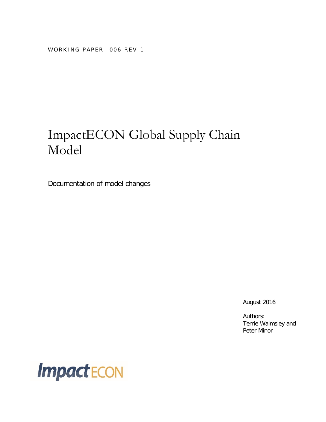WORKING PAPER-006 REV-1

## ImpactECON Global Supply Chain Model

Documentation of model changes

August 2016

Authors: Terrie Walmsley and Peter Minor

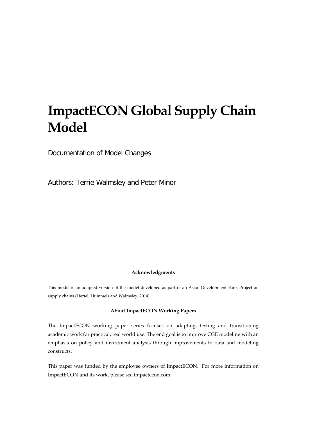# **ImpactECON Global Supply Chain Model**

Documentation of Model Changes

Authors: Terrie Walmsley and Peter Minor

#### **Acknowledgments**

This model is an adapted version of the model developed as part of an Asian Development Bank Project on supply chains (Hertel, Hummels and Walmsley, 2014).

#### **About ImpactECON Working Papers**

The ImpactECON working paper series focuses on adapting, testing and transitioning academic work for practical, real world use. The end goal is to improve CGE modeling with an emphasis on policy and investment analysis through improvements to data and modeling constructs.

This paper was funded by the employee owners of ImpactECON. For more information on ImpactECON and its work, please see impactecon.com.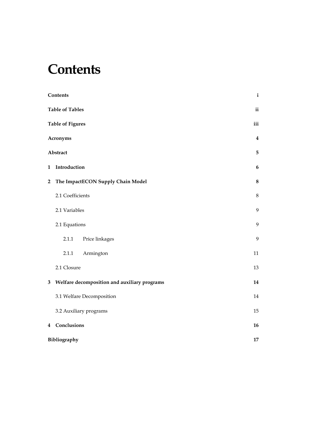### <span id="page-4-0"></span>**Contents**

|                         | Contents                                     | $\mathbf{i}$            |
|-------------------------|----------------------------------------------|-------------------------|
|                         | <b>Table of Tables</b>                       | $\mathbf{ii}$           |
|                         | <b>Table of Figures</b>                      | iii                     |
|                         | <b>Acronyms</b>                              | $\overline{\mathbf{4}}$ |
|                         | Abstract                                     | 5                       |
| $\mathbf{1}$            | Introduction                                 | $\boldsymbol{6}$        |
| $\overline{\mathbf{c}}$ | The ImpactECON Supply Chain Model            | $\bf 8$                 |
|                         | 2.1 Coefficients                             | $\,8\,$                 |
|                         | 2.1 Variables                                | 9                       |
|                         | 2.1 Equations                                | 9                       |
|                         | 2.1.1<br>Price linkages                      | 9                       |
|                         | 2.1.1<br>Armington                           | 11                      |
|                         | 2.1 Closure                                  | 13                      |
| 3                       | Welfare decomposition and auxiliary programs | 14                      |
|                         | 3.1 Welfare Decomposition                    | 14                      |
|                         | 3.2 Auxiliary programs                       | 15                      |
|                         | 4 Conclusions                                | 16                      |
|                         | Bibliography                                 | 17                      |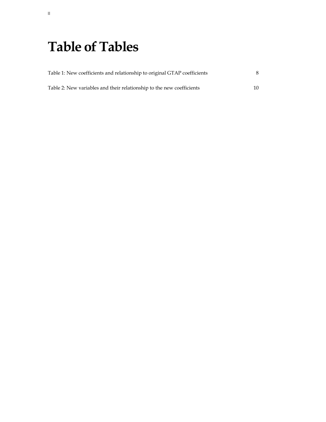# <span id="page-5-0"></span>**Table of Tables**

| Table 1: New coefficients and relationship to original GTAP coefficients |    |  |  |
|--------------------------------------------------------------------------|----|--|--|
| Table 2: New variables and their relationship to the new coefficients    | 10 |  |  |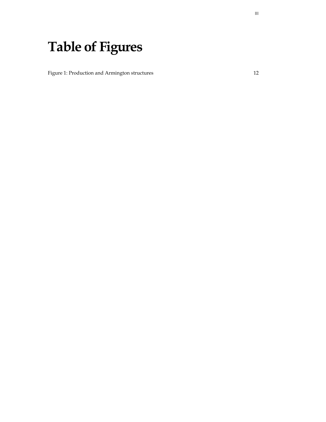# <span id="page-6-0"></span>**Table of Figures**

[Figure 1: Production and Armington structures](#page-15-0) 12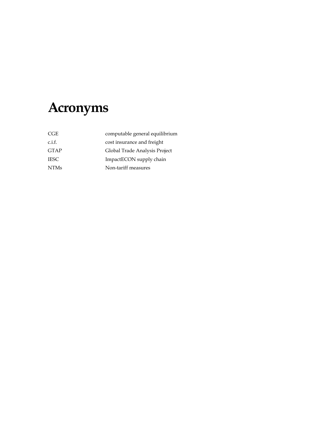# <span id="page-7-0"></span>**Acronyms**

| computable general equilibrium |
|--------------------------------|
| cost insurance and freight     |
| Global Trade Analysis Project  |
| ImpactECON supply chain        |
| Non-tariff measures            |
|                                |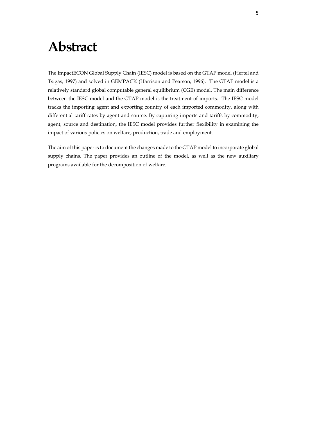### <span id="page-8-0"></span>**Abstract**

The ImpactECON Global Supply Chain (IESC) model is based on the GTAP model (Hertel and Tsigas, 1997) and solved in GEMPACK (Harrison and Pearson, 1996). The GTAP model is a relatively standard global computable general equilibrium (CGE) model. The main difference between the IESC model and the GTAP model is the treatment of imports. The IESC model tracks the importing agent and exporting country of each imported commodity, along with differential tariff rates by agent and source. By capturing imports and tariffs by commodity, agent, source and destination, the IESC model provides further flexibility in examining the impact of various policies on welfare, production, trade and employment.

The aim of this paper is to document the changes made to the GTAP model to incorporate global supply chains. The paper provides an outline of the model, as well as the new auxiliary programs available for the decomposition of welfare.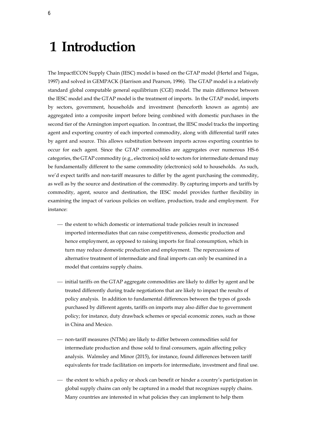### <span id="page-9-0"></span>**1 Introduction**

The ImpactECON Supply Chain (IESC) model is based on the GTAP model (Hertel and Tsigas, 1997) and solved in GEMPACK (Harrison and Pearson, 1996). The GTAP model is a relatively standard global computable general equilibrium (CGE) model. The main difference between the IESC model and the GTAP model is the treatment of imports. In the GTAP model, imports by sectors, government, households and investment (henceforth known as agents) are aggregated into a composite import before being combined with domestic purchases in the second tier of the Armington import equation. In contrast, the IESC model tracks the importing agent and exporting country of each imported commodity, along with differential tariff rates by agent and source. This allows substitution between imports across exporting countries to occur for each agent. Since the GTAP commodities are aggregates over numerous HS-6 categories, the GTAP commodity (e.g., electronics) sold to sectors for intermediate demand may be fundamentally different to the same commodity (electronics) sold to households. As such, we'd expect tariffs and non-tariff measures to differ by the agent purchasing the commodity, as well as by the source and destination of the commodity. By capturing imports and tariffs by commodity, agent, source and destination, the IESC model provides further flexibility in examining the impact of various policies on welfare, production, trade and employment. For instance:

- the extent to which domestic or international trade policies result in increased imported intermediates that can raise competitiveness, domestic production and hence employment, as opposed to raising imports for final consumption, which in turn may reduce domestic production and employment. The repercussions of alternative treatment of intermediate and final imports can only be examined in a model that contains supply chains.
- $-$  initial tariffs on the GTAP aggregate commodities are likely to differ by agent and be treated differently during trade negotiations that are likely to impact the results of policy analysis. In addition to fundamental differences between the types of goods purchased by different agents, tariffs on imports may also differ due to government policy; for instance, duty drawback schemes or special economic zones, such as those in China and Mexico.
- non-tariff measures (NTMs) are likely to differ between commodities sold for intermediate production and those sold to final consumers, again affecting policy analysis. Walmsley and Minor (2015), for instance, found differences between tariff equivalents for trade facilitation on imports for intermediate, investment and final use.
- $-$  the extent to which a policy or shock can benefit or hinder a country's participation in global supply chains can only be captured in a model that recognizes supply chains. Many countries are interested in what policies they can implement to help them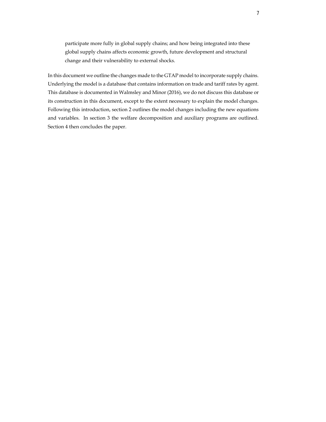participate more fully in global supply chains; and how being integrated into these global supply chains affects economic growth, future development and structural change and their vulnerability to external shocks.

In this document we outline the changes made to the GTAP model to incorporate supply chains. Underlying the model is a database that contains information on trade and tariff rates by agent. This database is documented in Walmsley and Minor (2016), we do not discuss this database or its construction in this document, except to the extent necessary to explain the model changes. Following this introduction, section 2 outlines the model changes including the new equations and variables. In section 3 the welfare decomposition and auxiliary programs are outlined. Section 4 then concludes the paper.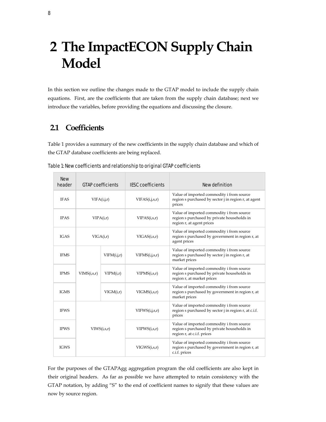# <span id="page-11-0"></span>**2 The ImpactECON Supply Chain Model**

In this section we outline the changes made to the GTAP model to include the supply chain equations. First, are the coefficients that are taken from the supply chain database; next we introduce the variables, before providing the equations and discussing the closure.

### <span id="page-11-1"></span>**2.1 Coefficients**

[Table 1](#page-11-2) provides a summary of the new coefficients in the supply chain database and which of the GTAP database coefficients are being replaced.

| <b>New</b><br>header         | <b>GTAP coefficients</b> |             | <b>IESC coefficients</b> | <b>New definition</b>                                                                                                              |  |
|------------------------------|--------------------------|-------------|--------------------------|------------------------------------------------------------------------------------------------------------------------------------|--|
| <b>IFAS</b>                  | VIFA(i,j,r)              |             | VIFAS(i,j,s,r)           | Value of imported commodity i from source<br>region s purchased by sector j in region r, at agent<br>prices                        |  |
| <b>IPAS</b>                  | VIPA(i,r)                |             | VIPAS(i,s,r)             | Value of imported commodity i from source<br>region s purchased by private households in<br>region r, at agent prices              |  |
| <b>IGAS</b>                  | VIGA(i,r)                |             | VIGAS(i,s,r)             | Value of imported commodity i from source<br>region s purchased by government in region r, at<br>agent prices                      |  |
| <b>IFMS</b>                  |                          | VIFM(i,j,r) | VIFMS(i,j,s,r)           | Value of imported commodity i from source<br>region s purchased by sector j in region r, at<br>market prices                       |  |
| <b>IPMS</b>                  | VIMS(i,s,r)              | VIPM(i,r)   | VIPMS(i,s,r)             | Value of imported commodity i from source<br>region s purchased by private households in<br>region r, at market prices             |  |
| <b>IGMS</b>                  |                          | VIGM(i,r)   | VIGMS(i,s,r)             | Value of imported commodity i from source<br>region s purchased by government in region r, at<br>market prices                     |  |
| <b>IFWS</b>                  |                          |             | VIFWS(i,j,s,r)           | Value of imported commodity i from source<br>region s purchased by sector <i>j</i> in region <i>r</i> , at <i>c.i.f.</i><br>prices |  |
| <b>IPWS</b><br>$VIWS(i,s,r)$ |                          |             | VIPWS(i,s,r)             | Value of imported commodity i from source<br>region s purchased by private households in<br>region r, at c.i.f. prices             |  |
| <b>IGWS</b>                  |                          |             | VIGWS(i,s,r)             | Value of imported commodity i from source<br>region s purchased by government in region r, at<br>c.i.f. prices                     |  |

<span id="page-11-2"></span>

| Table 1: New coefficients and relationship to original GTAP coefficients |  |
|--------------------------------------------------------------------------|--|
|--------------------------------------------------------------------------|--|

For the purposes of the GTAPAgg aggregation program the old coefficients are also kept in their original headers. As far as possible we have attempted to retain consistency with the GTAP notation, by adding "S" to the end of coefficient names to signify that these values are now by source region.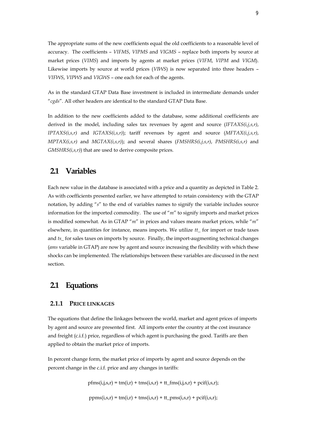The appropriate sums of the new coefficients equal the old coefficients to a reasonable level of accuracy. The coefficients – *VIFMS*, *VIPMS* and *VIGMS* – replace both imports by source at market prices (*VIMS*) and imports by agents at market prices (*VIFM*, *VIPM* and *VIGM*). Likewise imports by source at world prices (*VIWS*) is now separated into three headers – *VIFWS*, *VIPWS* and *VIGWS* – one each for each of the agents.

As in the standard GTAP Data Base investment is included in intermediate demands under "*cgds*". All other headers are identical to the standard GTAP Data Base.

In addition to the new coefficients added to the database, some additional coefficients are derived in the model, including sales tax revenues by agent and source (*IFTAXS(i,j,s,r)*, *IPTAXS(i,s,r)* and *IGTAXS(i,s,r)*); tariff revenues by agent and source (*MFTAX(i,j,s,r)*, *MPTAX(i,s,r)* and *MGTAX(i,s,r)*); and several shares (*FMSHRS(i,j,s,r)*, *PMSHRS(i,s,r)* and *GMSHRS(i,s,r)*) that are used to derive composite prices.

### <span id="page-12-0"></span>**2.1 Variables**

Each new value in the database is associated with a price and a quantity as depicted i[n Table 2.](#page-13-0)  As with coefficients presented earlier, we have attempted to retain consistency with the GTAP notation, by adding "*s*" to the end of variables names to signify the variable includes source information for the imported commodity. The use of "*m*" to signify imports and market prices is modified somewhat. As in GTAP "*m*" in prices and values means market prices, while "*m*" elsewhere, in quantities for instance, means imports. We utilize *tt\_* for import or trade taxes and *ts\_* for sales taxes on imports by source. Finally, the import-augmenting technical changes (*ams* variable in GTAP) are now by agent and source increasing the flexibility with which these shocks can be implemented. The relationships between these variables are discussed in the next section.

### <span id="page-12-1"></span>**2.1 Equations**

#### <span id="page-12-2"></span>**2.1.1 PRICE LINKAGES**

The equations that define the linkages between the world, market and agent prices of imports by agent and source are presented first. All imports enter the country at the cost insurance and freight (c.i.f.) price, regardless of which agent is purchasing the good. Tariffs are then applied to obtain the market price of imports.

In percent change form, the market price of imports by agent and source depends on the percent change in the c.i.f. price and any changes in tariffs:

 $pfms(i,j,s,r) = tm(i,r) + tms(i,s,r) + tt_fms(i,j,s,r) + pcif(i,s,r);$ 

 $ppms(i,s,r) = tm(i,r) + tms(i,s,r) + tt_{pms}(i,s,r) + pcif(i,s,r);$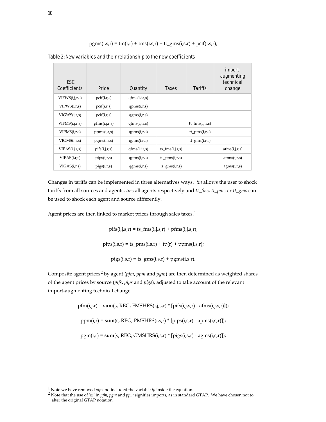$pgms(i,s,r) = tm(i,r) + tms(i,s,r) + tt_gms(i,s,r) + pcif(i,s,r);$ 

| <b>IESC</b><br><b>Coefficients</b> | <b>Price</b>  | <b>Quantity</b> | Taxes                    | Tariffs           | import-<br>augmenting<br>technical<br>change |
|------------------------------------|---------------|-----------------|--------------------------|-------------------|----------------------------------------------|
| VIFWS(i,j,r,s)                     | pcif(i,r,s)   | qfms(i,j,r,s)   |                          |                   |                                              |
| VIPWS(i,r,s)                       | pcif(i,r,s)   | qpms(i,r,s)     |                          |                   |                                              |
| VIGWS(i,r,s)                       | pcif(i,r,s)   | qgms(i,r,s)     |                          |                   |                                              |
| VIFMS(i,j,r,s)                     | pfms(i,j,r,s) | qfms(i,j,r,s)   |                          | $tt_fms(i,j,r,s)$ |                                              |
| VIPMS(i,r,s)                       | ppms(i,r,s)   | qpms(i,r,s)     |                          | $tt\_pms(i,r,s)$  |                                              |
| VIGMS(i,r,s)                       | pgms(i,r,s)   | qgms(i,r,s)     |                          | $tt_{gms}(i,r,s)$ |                                              |
| VIFAS(i,j,r,s)                     | pifs(i,j,r,s) | qfms(i,j,r,s)   | $ts_fms(i,j,r,s)$        |                   | afms(i,j,r,s)                                |
| VIPAS(i,r,s)                       | pips(i,r,s)   | qpms(i,r,s)     | $ts_{\text{pms}(i,r,s)}$ |                   | apms(i,r,s)                                  |
| VIGAS(i,r,s)                       | pigs(i,r,s)   | qgms(i,r,s)     | $ts_{rms(i,r,s)}$        |                   | agms(i,r,s)                                  |

<span id="page-13-0"></span>Table 2: New variables and their relationship to the new coefficients

Changes in tariffs can be implemented in three alternatives ways. *tm* allows the user to shock tariffs from all sources and agents, *tms* all agents respectively and *tt\_fms*, *tt\_pms* or *tt\_gms* can be used to shock each agent and source differently.

Agent prices are then linked to market prices through sales taxes.<sup>[1](#page-13-1)</sup>

 $pifs(i,j,s,r) = ts_fms(i,j,s,r) + pfms(i,j,s,r);$ 

 $pips(i,s,r) = ts\_pms(i,s,r) + tp(r) + ppms(i,s,r);$ 

 $pigs(i,s,r) = ts\_gms(i,s,r) + pgms(i,s,r);$ 

Composite agent prices<sup>[2](#page-13-2)</sup> by agent (*pfm*, *ppm* and *pgm*) are then determined as weighted shares of the agent prices by source (*pifs*, *pips* and *pigs*), adjusted to take account of the relevant import-augmenting technical change.

 $pfm(i,j,r) = sum(s, REG, FMSHRS(i,j,s,r) * [pifs(i,j,s,r) - afms(i,j,s,r)])$ ;

ppm(i,r) = **sum**(s, REG, PMSHRS(i,s,r) \* **[**pips(i,s,r) - apms(i,s,r)**]**);

pgm(i,r) = **sum**(s, REG, GMSHRS(i,s,r) \* **[**pigs(i,s,r) - agms(i,s,r)**]**);

 $\overline{a}$ 

<span id="page-13-2"></span><span id="page-13-1"></span><sup>&</sup>lt;sup>1</sup> Note we have removed *atp* and included the variable *tp* inside the equation.<br><sup>2</sup> Note that the use of '*m'* in *pfm*, *pgm* and *ppm* signifies imports, as in standard GTAP. We have chosen not to alter the original GTAP notation.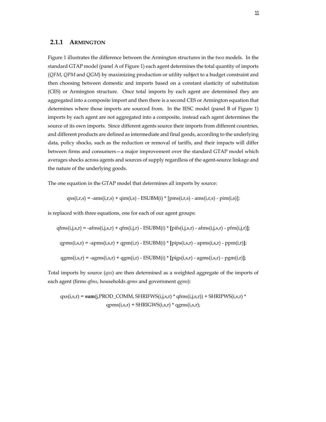#### <span id="page-14-0"></span>**2.1.1 ARMINGTON**

[Figure 1](#page-15-0) illustrates the difference between the Armington structures in the two models. In the standard GTAP model (panel A o[f Figure](#page-15-0) 1) each agent determines the total quantity of imports (*QFM*, *QPM* and *QGM*) by maximizing production or utility subject to a budget constraint and then choosing between domestic and imports based on a constant elasticity of substitution (CES) or Armington structure. Once total imports by each agent are determined they are aggregated into a composite import and then there is a second CES or Armington equation that determines where those imports are sourced from. In the IESC model (panel B of [Figure 1\)](#page-15-0) imports by each agent are not aggregated into a composite, instead each agent determines the source of its own imports. Since different agents source their imports from different countries, and different products are defined as intermediate and final goods, according to the underlying data, policy shocks, such as the reduction or removal of tariffs, and their impacts will differ between firms and consumers—a major improvement over the standard GTAP model which averages shocks across agents and sources of supply regardless of the agent-source linkage and the nature of the underlying goods.

The one equation in the GTAP model that determines all imports by source:

$$
\mathrm{qxs}(i,r,s) = \text{-ams}(i,r,s) + \mathrm{qim}(i,s) - \mathrm{ESUBM}(i) * [\mathrm{pms}(i,r,s) - \mathrm{ams}(i,r,s) - \mathrm{pim}(i,s)];
$$

is replaced with three equations, one for each of our agent groups:

$$
q\nfms(i,j,s,r) = -a\nfms(i,j,s,r) + q\nfms(i,j,r) - ESUBM(i) * [p\nif (i,j,s,r) - a\nfms(i,j,s,r) - p\nfms(i,j,r)];
$$
\n
$$
q\npms(i,s,r) = -a\npms(i,s,r) + q\npms(i,r) - ESUBM(i) * [p\nif (i,s,r) - a\npms(i,s,r) - p\npms(i,r)];
$$
\n
$$
q\ngms(i,s,r) = -a\ngms(i,s,r) + q\ngms(i,r) - ESUBM(i) * [p\nif (i,s,r) - a\ngms(i,s,r) - p\ngms(i,r)];
$$

Total imports by source (*qxs*) are then determined as a weighted aggregate of the imports of each agent (firms *qfms*, households *qpms* and government *qgms*):

$$
qxs(i,s,r) = sum(j,PROD_COMM, SHRIFWS(i,j,s,r) * qfms(i,j,s,r)) + SHRIPWS(i,s,r) * qgms(i,s,r))
$$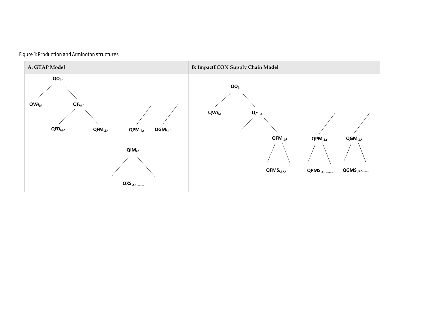<span id="page-15-0"></span>

#### Figure 1: Production and Armington structures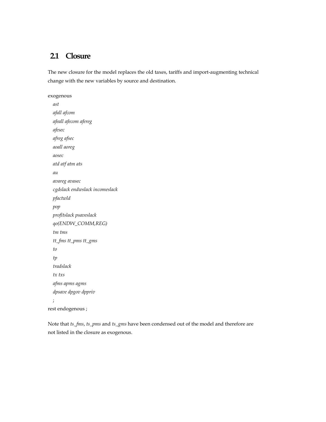### <span id="page-16-0"></span>**2.1 Closure**

The new closure for the model replaces the old taxes, tariffs and import-augmenting technical change with the new variables by source and destination.

exogenous  *ast afall afcom afeall afecom afereg afesec afreg afsec aoall aoreg aosec atd atf atm ats au avareg avasec cgdslack endwslack incomeslack pfactwld pop profitslack psaveslack qo(ENDW\_COMM,REG) tm tms tt\_fms tt\_pms tt\_gms to tp tradslack tx txs afms apms agms dpsave dpgov dppriv* ; rest endogenous ;

Note that *ts\_fms*, *ts\_pms* and *ts\_gms* have been condensed out of the model and therefore are not listed in the closure as exogenous.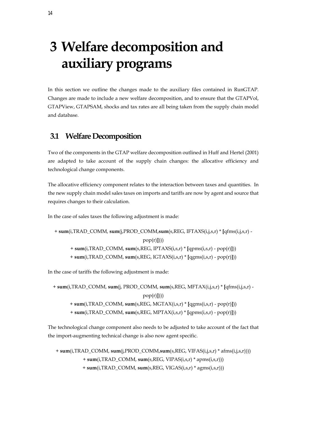# <span id="page-17-0"></span>**3 Welfare decomposition and auxiliary programs**

In this section we outline the changes made to the auxiliary files contained in RunGTAP. Changes are made to include a new welfare decomposition, and to ensure that the GTAPVol, GTAPView, GTAPSAM, shocks and tax rates are all being taken from the supply chain model and database.

### <span id="page-17-1"></span>**3.1 Welfare Decomposition**

Two of the components in the GTAP welfare decomposition outlined in Huff and Hertel (2001) are adapted to take account of the supply chain changes: the allocative efficiency and technological change components.

The allocative efficiency component relates to the interaction between taxes and quantities. In the new supply chain model sales taxes on imports and tariffs are now by agent and source that requires changes to their calculation.

In the case of sales taxes the following adjustment is made:

+ **sum**(i,TRAD\_COMM, **sum**(j,PROD\_COMM,**sum**(s,REG, IFTAXS(i,j,s,r) \* **[**qfms(i,j,s,r) pop(r)**]**))) + **sum**(i,TRAD\_COMM, **sum**(s,REG, IPTAXS(i,s,r) \* **[**qpms(i,s,r) - pop(r)**]**)) + **sum**(i,TRAD\_COMM, **sum**(s,REG, IGTAXS(i,s,r) \* **[**qgms(i,s,r) - pop(r)**]**))

In the case of tariffs the following adjustment is made:

+ **sum**(i,TRAD\_COMM, **sum**(j, PROD\_COMM, **sum**(s,REG, MFTAX(i,j,s,r) \* **[**qfms(i,j,s,r) pop(r)**]**))) + **sum**(i,TRAD\_COMM, **sum**(s,REG, MGTAX(i,s,r) \* **[**qgms(i,s,r) - pop(r)**]**)) + **sum**(i,TRAD\_COMM, **sum**(s,REG, MPTAX(i,s,r) \* **[**qpms(i,s,r) - pop(r)**]**))

The technological change component also needs to be adjusted to take account of the fact that the import-augmenting technical change is also now agent specific.

+ **sum**(i,TRAD\_COMM, **sum**(j,PROD\_COMM,**sum**(s,REG, VIFAS(i,j,s,r) \* afms(i,j,s,r)))) + **sum**(i,TRAD\_COMM, **sum**(s,REG, VIPAS(i,s,r) \* apms(i,s,r))) + **sum**(i,TRAD\_COMM, **sum**(s,REG, VIGAS(i,s,r) \* agms(i,s,r)))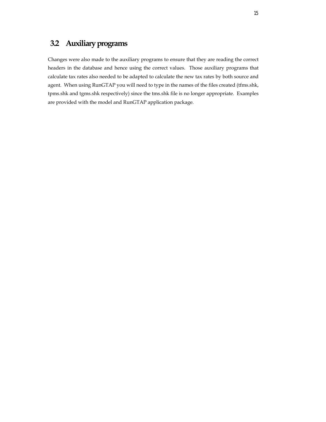### <span id="page-18-0"></span>**3.2 Auxiliaryprograms**

Changes were also made to the auxiliary programs to ensure that they are reading the correct headers in the database and hence using the correct values. Those auxiliary programs that calculate tax rates also needed to be adapted to calculate the new tax rates by both source and agent. When using RunGTAP you will need to type in the names of the files created (tfms.shk, tpms.shk and tgms.shk respectively) since the tms.shk file is no longer appropriate. Examples are provided with the model and RunGTAP application package.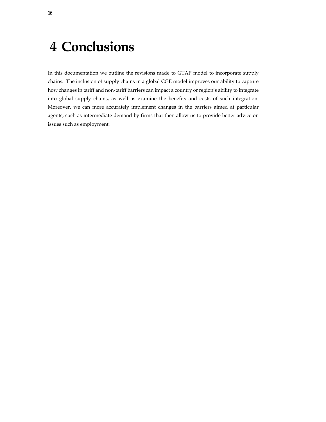### <span id="page-19-0"></span>**4 Conclusions**

In this documentation we outline the revisions made to GTAP model to incorporate supply chains. The inclusion of supply chains in a global CGE model improves our ability to capture how changes in tariff and non-tariff barriers can impact a country or region's ability to integrate into global supply chains, as well as examine the benefits and costs of such integration. Moreover, we can more accurately implement changes in the barriers aimed at particular agents, such as intermediate demand by firms that then allow us to provide better advice on issues such as employment.